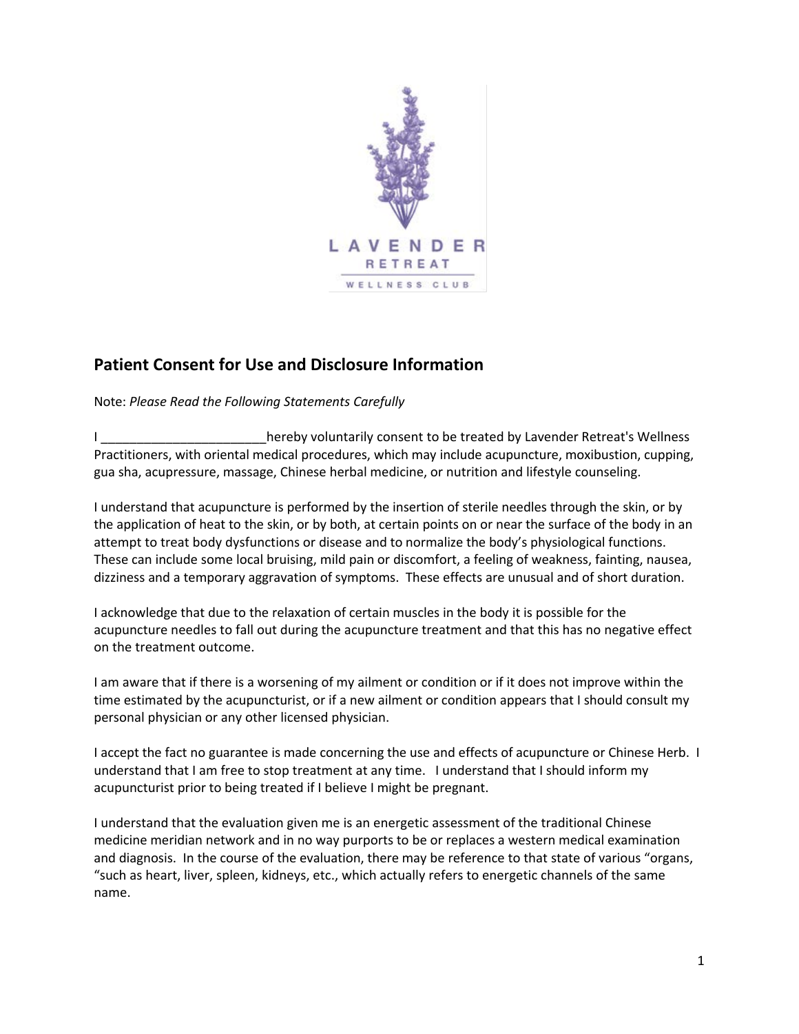

## **Patient Consent for Use and Disclosure Information**

Note: *Please Read the Following Statements Carefully* 

I hereby voluntarily consent to be treated by Lavender Retreat's Wellness Practitioners, with oriental medical procedures, which may include acupuncture, moxibustion, cupping, gua sha, acupressure, massage, Chinese herbal medicine, or nutrition and lifestyle counseling.

I understand that acupuncture is performed by the insertion of sterile needles through the skin, or by the application of heat to the skin, or by both, at certain points on or near the surface of the body in an attempt to treat body dysfunctions or disease and to normalize the body's physiological functions. These can include some local bruising, mild pain or discomfort, a feeling of weakness, fainting, nausea, dizziness and a temporary aggravation of symptoms. These effects are unusual and of short duration.

I acknowledge that due to the relaxation of certain muscles in the body it is possible for the acupuncture needles to fall out during the acupuncture treatment and that this has no negative effect on the treatment outcome.

I am aware that if there is a worsening of my ailment or condition or if it does not improve within the time estimated by the acupuncturist, or if a new ailment or condition appears that I should consult my personal physician or any other licensed physician.

I accept the fact no guarantee is made concerning the use and effects of acupuncture or Chinese Herb. I understand that I am free to stop treatment at any time. I understand that I should inform my acupuncturist prior to being treated if I believe I might be pregnant.

I understand that the evaluation given me is an energetic assessment of the traditional Chinese medicine meridian network and in no way purports to be or replaces a western medical examination and diagnosis. In the course of the evaluation, there may be reference to that state of various "organs, "such as heart, liver, spleen, kidneys, etc., which actually refers to energetic channels of the same name.